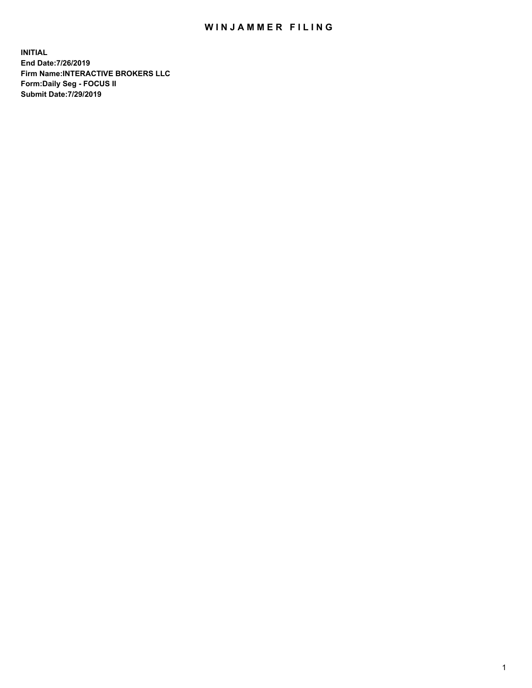## WIN JAMMER FILING

**INITIAL End Date:7/26/2019 Firm Name:INTERACTIVE BROKERS LLC Form:Daily Seg - FOCUS II Submit Date:7/29/2019**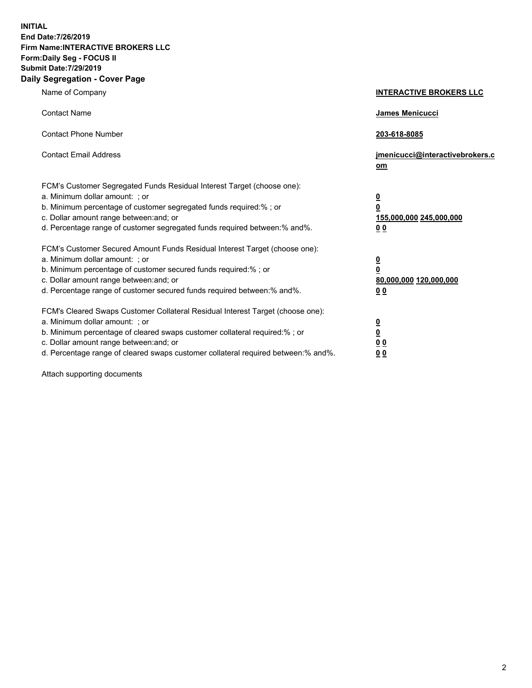**INITIAL End Date:7/26/2019 Firm Name:INTERACTIVE BROKERS LLC Form:Daily Seg - FOCUS II Submit Date:7/29/2019 Daily Segregation - Cover Page**

| Name of Company                                                                                                                                                                                                                                                                                                                | <b>INTERACTIVE BROKERS LLC</b>                                                                  |
|--------------------------------------------------------------------------------------------------------------------------------------------------------------------------------------------------------------------------------------------------------------------------------------------------------------------------------|-------------------------------------------------------------------------------------------------|
| <b>Contact Name</b>                                                                                                                                                                                                                                                                                                            | James Menicucci                                                                                 |
| <b>Contact Phone Number</b>                                                                                                                                                                                                                                                                                                    | 203-618-8085                                                                                    |
| <b>Contact Email Address</b>                                                                                                                                                                                                                                                                                                   | jmenicucci@interactivebrokers.c<br>om                                                           |
| FCM's Customer Segregated Funds Residual Interest Target (choose one):<br>a. Minimum dollar amount: ; or<br>b. Minimum percentage of customer segregated funds required:%; or<br>c. Dollar amount range between: and; or<br>d. Percentage range of customer segregated funds required between:% and%.                          | $\overline{\mathbf{0}}$<br>$\overline{\mathbf{0}}$<br>155,000,000 245,000,000<br>0 <sub>0</sub> |
| FCM's Customer Secured Amount Funds Residual Interest Target (choose one):<br>a. Minimum dollar amount: ; or<br>b. Minimum percentage of customer secured funds required:% ; or<br>c. Dollar amount range between: and; or<br>d. Percentage range of customer secured funds required between:% and%.                           | $\frac{0}{0}$<br>80,000,000 120,000,000<br>0 <sub>0</sub>                                       |
| FCM's Cleared Swaps Customer Collateral Residual Interest Target (choose one):<br>a. Minimum dollar amount: ; or<br>b. Minimum percentage of cleared swaps customer collateral required:% ; or<br>c. Dollar amount range between: and; or<br>d. Percentage range of cleared swaps customer collateral required between:% and%. | $\frac{0}{0}$<br>0 <sub>0</sub><br>0 <sub>0</sub>                                               |

Attach supporting documents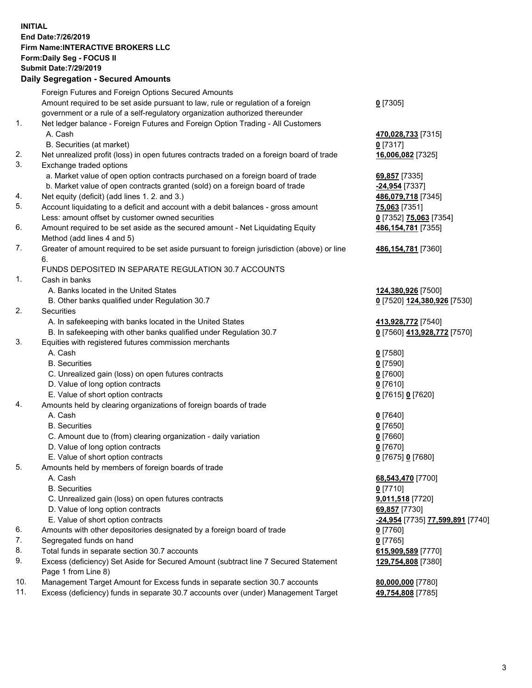**INITIAL End Date:7/26/2019 Firm Name:INTERACTIVE BROKERS LLC Form:Daily Seg - FOCUS II Submit Date:7/29/2019 Daily Segregation - Secured Amounts**

|     | Foreign Futures and Foreign Options Secured Amounts                                         |                                                                |
|-----|---------------------------------------------------------------------------------------------|----------------------------------------------------------------|
|     | Amount required to be set aside pursuant to law, rule or regulation of a foreign            | $0$ [7305]                                                     |
|     | government or a rule of a self-regulatory organization authorized thereunder                |                                                                |
| 1.  | Net ledger balance - Foreign Futures and Foreign Option Trading - All Customers             |                                                                |
|     | A. Cash                                                                                     | 470,028,733 [7315]                                             |
|     | B. Securities (at market)                                                                   | $0$ [7317]                                                     |
| 2.  | Net unrealized profit (loss) in open futures contracts traded on a foreign board of trade   | 16,006,082 [7325]                                              |
| 3.  | Exchange traded options                                                                     |                                                                |
|     | a. Market value of open option contracts purchased on a foreign board of trade              | 69,857 [7335]                                                  |
|     | b. Market value of open contracts granted (sold) on a foreign board of trade                | -24,954 [7337]                                                 |
| 4.  | Net equity (deficit) (add lines 1. 2. and 3.)                                               | 486,079,718 [7345]                                             |
| 5.  | Account liquidating to a deficit and account with a debit balances - gross amount           | 75,063 [7351]                                                  |
|     | Less: amount offset by customer owned securities                                            | 0 [7352] 75,063 [7354]                                         |
| 6.  | Amount required to be set aside as the secured amount - Net Liquidating Equity              | 486,154,781 [7355]                                             |
|     | Method (add lines 4 and 5)                                                                  |                                                                |
| 7.  | Greater of amount required to be set aside pursuant to foreign jurisdiction (above) or line | 486,154,781 [7360]                                             |
|     | 6.                                                                                          |                                                                |
|     | FUNDS DEPOSITED IN SEPARATE REGULATION 30.7 ACCOUNTS                                        |                                                                |
| 1.  | Cash in banks                                                                               |                                                                |
|     | A. Banks located in the United States                                                       | 124,380,926 [7500]                                             |
|     | B. Other banks qualified under Regulation 30.7                                              | 0 [7520] 124,380,926 [7530]                                    |
| 2.  | Securities                                                                                  |                                                                |
|     | A. In safekeeping with banks located in the United States                                   | 413,928,772 [7540]                                             |
|     | B. In safekeeping with other banks qualified under Regulation 30.7                          | 0 [7560] 413,928,772 [7570]                                    |
| 3.  | Equities with registered futures commission merchants                                       |                                                                |
|     | A. Cash                                                                                     | $0$ [7580]                                                     |
|     | <b>B.</b> Securities                                                                        | $0$ [7590]                                                     |
|     | C. Unrealized gain (loss) on open futures contracts                                         | $0$ [7600]                                                     |
|     | D. Value of long option contracts                                                           | $0$ [7610]                                                     |
|     | E. Value of short option contracts                                                          | 0 [7615] 0 [7620]                                              |
| 4.  | Amounts held by clearing organizations of foreign boards of trade                           |                                                                |
|     | A. Cash                                                                                     | $0$ [7640]                                                     |
|     | <b>B.</b> Securities                                                                        | $0$ [7650]                                                     |
|     | C. Amount due to (from) clearing organization - daily variation                             | $0$ [7660]                                                     |
|     | D. Value of long option contracts                                                           | $0$ [7670]                                                     |
|     | E. Value of short option contracts                                                          | 0 [7675] 0 [7680]                                              |
| 5.  | Amounts held by members of foreign boards of trade                                          |                                                                |
|     | A. Cash                                                                                     | 68,543,470 [7700]                                              |
|     | <b>B.</b> Securities                                                                        | $0$ [7710]                                                     |
|     | C. Unrealized gain (loss) on open futures contracts                                         | 9,011,518 [7720]                                               |
|     | D. Value of long option contracts                                                           | 69,857 [7730]                                                  |
|     | E. Value of short option contracts                                                          | <u>-<b>24,954</b> [</u> 7735] <u>77,<b>599,891</b> [</u> 7740] |
| 6.  | Amounts with other depositories designated by a foreign board of trade                      | 0 [7760]                                                       |
| 7.  | Segregated funds on hand                                                                    | $0$ [7765]                                                     |
| 8.  | Total funds in separate section 30.7 accounts                                               | 615,909,589 [7770]                                             |
| 9.  | Excess (deficiency) Set Aside for Secured Amount (subtract line 7 Secured Statement         | 129,754,808 [7380]                                             |
|     | Page 1 from Line 8)                                                                         |                                                                |
| 10. | Management Target Amount for Excess funds in separate section 30.7 accounts                 | 80,000,000 [7780]                                              |
| 11. | Excess (deficiency) funds in separate 30.7 accounts over (under) Management Target          | 49,754,808 [7785]                                              |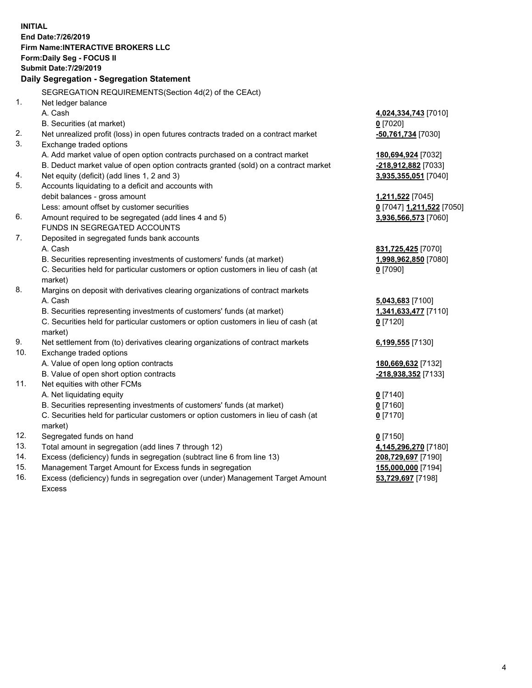**INITIAL End Date:7/26/2019 Firm Name:INTERACTIVE BROKERS LLC Form:Daily Seg - FOCUS II Submit Date:7/29/2019 Daily Segregation - Segregation Statement** SEGREGATION REQUIREMENTS(Section 4d(2) of the CEAct) 1. Net ledger balance A. Cash **4,024,334,743** [7010] B. Securities (at market) **0** [7020] 2. Net unrealized profit (loss) in open futures contracts traded on a contract market **-50,761,734** [7030] 3. Exchange traded options A. Add market value of open option contracts purchased on a contract market **180,694,924** [7032] B. Deduct market value of open option contracts granted (sold) on a contract market **-218,912,882** [7033] 4. Net equity (deficit) (add lines 1, 2 and 3) **3,935,355,051** [7040] 5. Accounts liquidating to a deficit and accounts with debit balances - gross amount **1,211,522** [7045] Less: amount offset by customer securities **0** [7047] **1,211,522** [7050] 6. Amount required to be segregated (add lines 4 and 5) **3,936,566,573** [7060] FUNDS IN SEGREGATED ACCOUNTS 7. Deposited in segregated funds bank accounts A. Cash **831,725,425** [7070] B. Securities representing investments of customers' funds (at market) **1,998,962,850** [7080] C. Securities held for particular customers or option customers in lieu of cash (at market) **0** [7090] 8. Margins on deposit with derivatives clearing organizations of contract markets A. Cash **5,043,683** [7100] B. Securities representing investments of customers' funds (at market) **1,341,633,477** [7110] C. Securities held for particular customers or option customers in lieu of cash (at market) **0** [7120] 9. Net settlement from (to) derivatives clearing organizations of contract markets **6,199,555** [7130] 10. Exchange traded options A. Value of open long option contracts **180,669,632** [7132] B. Value of open short option contracts **-218,938,352** [7133] 11. Net equities with other FCMs A. Net liquidating equity **0** [7140] B. Securities representing investments of customers' funds (at market) **0** [7160] C. Securities held for particular customers or option customers in lieu of cash (at market) **0** [7170] 12. Segregated funds on hand **0** [7150] 13. Total amount in segregation (add lines 7 through 12) **4,145,296,270** [7180] 14. Excess (deficiency) funds in segregation (subtract line 6 from line 13) **208,729,697** [7190] 15. Management Target Amount for Excess funds in segregation **155,000,000** [7194]

16. Excess (deficiency) funds in segregation over (under) Management Target Amount Excess

**53,729,697** [7198]